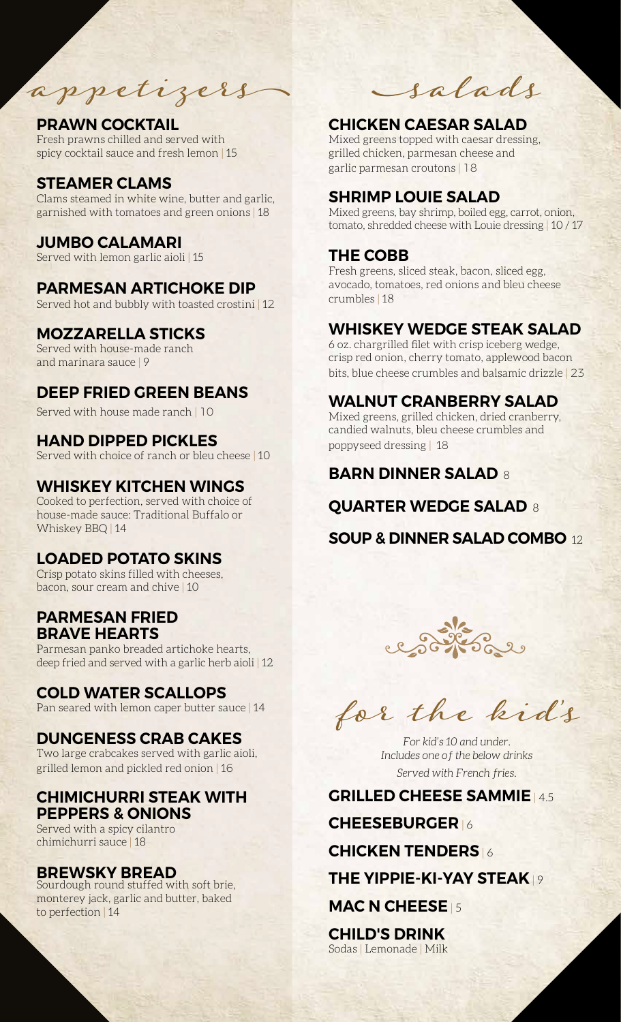appetizers

## PRAWN COCKTAIL

Fresh prawns chilled and served with spicy cocktail sauce and fresh lemon | 15

## STEAMER CLAMS

Clams steamed in white wine, butter and garlic, garnished with tomatoes and green onions | 18

## JUMBO CALAMARI

Served with lemon garlic aioli | 15

### PARMESAN ARTICHOKE DIP

Served hot and bubbly with toasted crostini | 12

## MOZZARELLA STICKS

Served with house-made ranch and marinara sauce | 9

## DEEP FRIED GREEN BEANS

Served with house made ranch | 10

### HAND DIPPED PICKLES

Served with choice of ranch or bleu cheese | 10

## WHISKEY KITCHEN WINGS

Cooked to perfection, served with choice of house-made sauce: Traditional Buffalo or Whiskey BBQ | 14

## LOADED POTATO SKINS

Crisp potato skins filled with cheeses, bacon, sour cream and chive | 10

## PARMESAN FRIED BRAVE HEARTS

Parmesan panko breaded artichoke hearts, deep fried and served with a garlic herb aioli | 12

### COLD WATER SCALLOPS

Pan seared with lemon caper butter sauce | 14

### DUNGENESS CRAB CAKES

Two large crabcakes served with garlic aioli, grilled lemon and pickled red onion | 16

### CHIMICHURRI STEAK WITH PEPPERS & ONIONS

Served with a spicy cilantro chimichurri sauce | 18

### BREWSKY BREAD

Sourdough round stuffed with soft brie, monterey jack, garlic and butter, baked to perfection | 14

salads

## CHICKEN CAESAR SALAD

Mixed greens topped with caesar dressing, grilled chicken, parmesan cheese and garlic parmesan croutons | 18

## SHRIMP LOUIE SALAD

Mixed greens, bay shrimp, boiled egg, carrot, onion, tomato, shredded cheese with Louie dressing | 10 / 17

## THE COBB

Fresh greens, sliced steak, bacon, sliced egg, avocado, tomatoes, red onions and bleu cheese crumbles | 18

## WHISKEY WEDGE STEAK SALAD

6 oz. chargrilled filet with crisp iceberg wedge, crisp red onion, cherry tomato, applewood bacon bits, blue cheese crumbles and balsamic drizzle | 23

## WALNUT CRANBERRY SALAD

Mixed greens, grilled chicken, dried cranberry, candied walnuts, bleu cheese crumbles and poppyseed dressing | 18

# **BARN DINNER SALAD 8**

## QUARTER WEDGE SALAD 8

SOUP & DINNER SALAD COMBO 12



for the kid 's

*For kid's 10 and under. Includes one of the below drinks Served with French fries.*

#### GRILLED CHEESE SAMMIE | 4.5

CHEESEBURGER | 6

#### CHICKEN TENDERS | 6

## THE YIPPIE-KI-YAY STEAK | 9

MAC N CHEESE 15

CHILD'S DRINK Sodas | Lemonade | Milk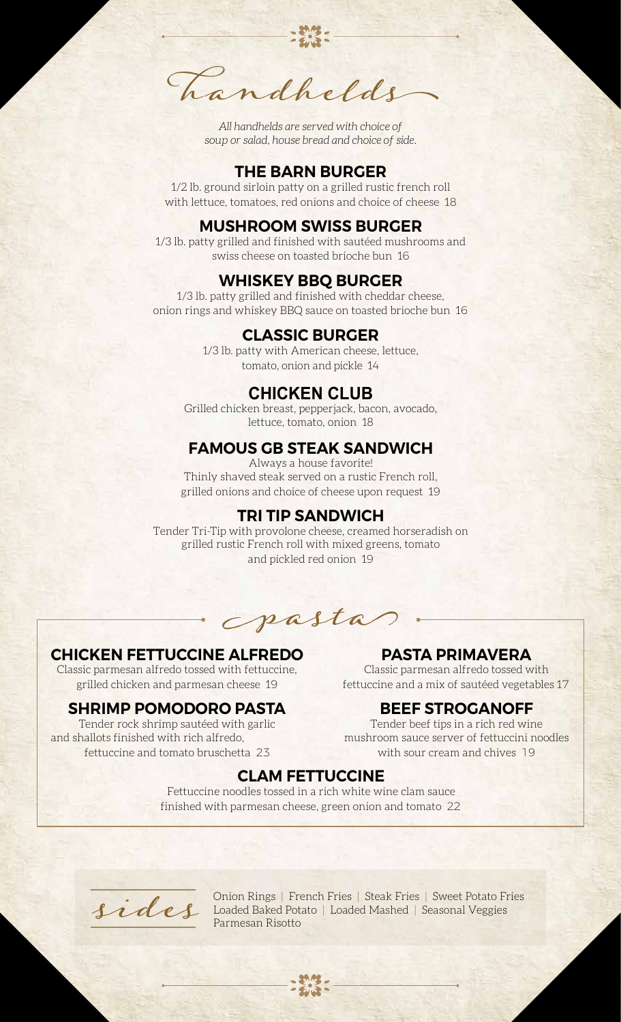handhelds

*All handhelds are served with choic e ofsoup or salad, house bread and choice of side.* 

### THE BARN BURGER

1/2 lb. ground sirloin patty on a grilled rustic french roll with lettuce, tomatoes, red onions and choice of cheese 18

#### MUSHROOM SWISS BURGER

1/3 lb. patty grilled and finished with sautéed mushrooms and swiss cheese on toasted brioche bun 16

#### WHISKEY BBQ BURGER

1/3 lb. patty grilled and finished with cheddar cheese, onion rings and whiskey BBQ sauce on toasted brioche bun 16

### CLASSIC BURGER

1/3 lb. patty with American cheese, lettuce, tomato, onion and pickle 14

### **CHICKEN CLUB**

Grilled chicken breast, pepperjack, bacon, avocado, lettuce, tomato, onion 18

### FAMOUS GB STEAK SANDWICH

Always a house favorite! Thinly shaved steak served on a rustic French roll, grilled onions and choice of cheese upon request 19

#### TRI TIP SANDWICH

Tender Tri-Tip with provolone cheese, creamed horseradish on grilled rustic French roll with mixed greens, tomato and pickled red onion 19

pasta

### CHICKEN FETTUCCINE ALFREDO

Classic parmesan alfredo tossed with fettuccine, grilled chicken and parmesan cheese 19

#### SHRIMP POMODORO PASTA

Tender rock shrimp sautéed with garlic and shallots finished with rich alfredo, fettuccine and tomato bruschetta 23

### PASTA PRIMAVERA

Classic parmesan alfredo tossed with fettuccine and a mix of sautéed vegetables 17

#### BEEF STROGANOFF

Tender beef tips in a rich red wine mushroom sauce server of fettuccini noodles with sour cream and chives 19

#### CLAM FETTUCCINE

Fettuccine noodles tossed in a rich white wine clam sauce finished with parmesan cheese, green onion and tomato 22



Onion Rings | French Fries | Steak Fries | Sweet Potato Fries Loaded Baked Potato | Loaded Mashed | Seasonal Veggies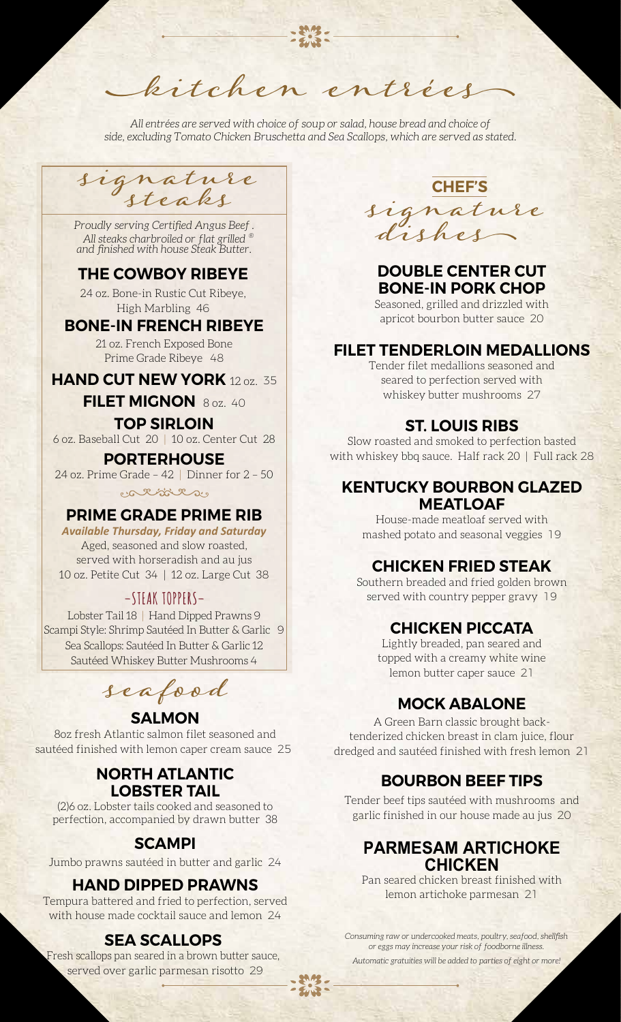kitchen entrées *All entrées are served with choice of soup or salad, house bread and choice of* 

*side, excluding Tomato Chicken Bruschetta and Sea Scallops, which are served as stated.*

signature

*® All steaks charbroiled or flat grilled Proudly serving Certified Angus Beef . and finished with house Steak Butter.*

# THE COWBOY RIBEYE

24 oz. Bone-in Rustic Cut Ribeye, High Marbling 46

### BONE-IN FRENCH RIBEYE

21 oz. French Exposed Bone Prime Grade Ribeye 48

**HAND CUT NEW YORK** 12 oz. 35

FILET MIGNON 8 oz. 40

### TOP SIRLOIN

6 oz. Baseball Cut 20 | 10 oz. Center Cut 28

#### PORTERHOUSE

24 oz. Prime Grade – 42 | Dinner for 2 – 50 cativitas

### PRIME GRADE PRIME RIB

*Available Thursday, Friday and Saturday*  Aged, seasoned and slow roasted, served with horseradish and au jus 10 oz. Petite Cut 34 | 12 oz. Large Cut 38

## **–STEAK TOPPERS–**

Lobster Tail 18 | Hand Dipped Prawns 9 Scampi Style: Shrimp Sautéed In Butter & Garlic 9 Sea Scallops: Sautéed In Butter & Garlic 12 Sautéed Whiskey Butter Mushrooms 4

seafood

### **SALMON**

8oz fresh Atlantic salmon filet seasoned and sautéed finished with lemon caper cream sauce 25

## NORTH ATLANTIC LOBSTER TAIL

(2)6 oz. Lobster tails cooked and seasoned to perfection, accompanied by drawn butter 38

## SCAMPI

Jumbo prawns sautéed in butter and garlic 24

## HAND DIPPED PRAWNS

Tempura battered and fried to perfection, served with house made cocktail sauce and lemon 24

# SEA SCALLOPS

Fresh scallops pan seared in a brown butter sauce, served over garlic parmesan risotto 29

steaks signature dishes CHEF'S

# DOUBLE CENTER CUT BONE-IN PORK CHOP

Seasoned, grilled and drizzled with apricot bourbon butter sauce 20

### FILET TENDERLOIN MEDALLIONS

Tender filet medallions seasoned and seared to perfection served with whiskey butter mushrooms 27

### ST. LOUIS RIBS

Slow roasted and smoked to perfection basted with whiskey bbq sauce. Half rack 20 | Full rack 28

## KENTUCKY BOURBON GLAZED **MEATLOAF**

House-made meatloaf served with mashed potato and seasonal veggies 19

# CHICKEN FRIED STEAK

Southern breaded and fried golden brown served with country pepper gravy 19

# CHICKEN PICCATA

Lightly breaded, pan seared and topped with a creamy white wine lemon butter caper sauce 21

# MOCK ABALONE

A Green Barn classic brought backtenderized chicken breast in clam juice, flour dredged and sautéed finished with fresh lemon 21

# BOURBON BEEF TIPS

Tender beef tips sautéed with mushrooms and garlic finished in our house made au jus 20

## **PARMESAM ARTICHOKE CHICKEN**

Pan seared chicken breast finished with lemon artichoke parmesan 21

*Consuming raw or undercooked meats, poultry, seafood, shellfish or eggs may increase your risk of foodborne illness.*

*Automatic gratuities will be added to parties of eight or more!*